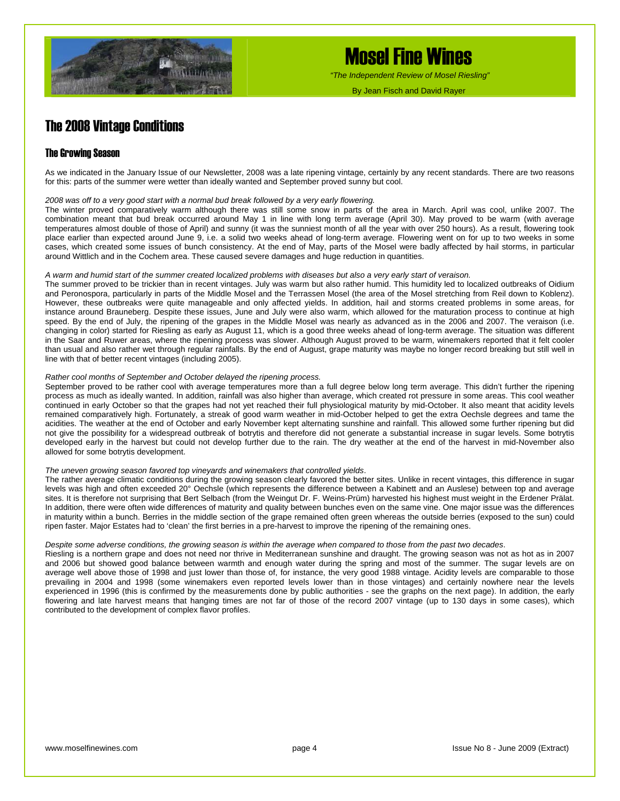

## Mosel Fine Wines

 *"The Independent Review of Mosel Riesling"*

By Jean Fisch and David Rayer

### The 2008 Vintage Conditions

### The Growing Season

As we indicated in the January Issue of our Newsletter, 2008 was a late ripening vintage, certainly by any recent standards. There are two reasons for this: parts of the summer were wetter than ideally wanted and September proved sunny but cool.

#### *2008 was off to a very good start with a normal bud break followed by a very early flowering.*

The winter proved comparatively warm although there was still some snow in parts of the area in March. April was cool, unlike 2007. The combination meant that bud break occurred around May 1 in line with long term average (April 30). May proved to be warm (with average temperatures almost double of those of April) and sunny (it was the sunniest month of all the year with over 250 hours). As a result, flowering took place earlier than expected around June 9, i.e. a solid two weeks ahead of long-term average. Flowering went on for up to two weeks in some cases, which created some issues of bunch consistency. At the end of May, parts of the Mosel were badly affected by hail storms, in particular around Wittlich and in the Cochem area. These caused severe damages and huge reduction in quantities.

#### *A warm and humid start of the summer created localized problems with diseases but also a very early start of veraison.*

The summer proved to be trickier than in recent vintages. July was warm but also rather humid. This humidity led to localized outbreaks of Oidium and Peronospora, particularly in parts of the Middle Mosel and the Terrassen Mosel (the area of the Mosel stretching from Reil down to Koblenz). However, these outbreaks were quite manageable and only affected yields. In addition, hail and storms created problems in some areas, for instance around Brauneberg. Despite these issues, June and July were also warm, which allowed for the maturation process to continue at high speed. By the end of July, the ripening of the grapes in the Middle Mosel was nearly as advanced as in the 2006 and 2007. The veraison (i.e. changing in color) started for Riesling as early as August 11, which is a good three weeks ahead of long-term average. The situation was different in the Saar and Ruwer areas, where the ripening process was slower. Although August proved to be warm, winemakers reported that it felt cooler than usual and also rather wet through regular rainfalls. By the end of August, grape maturity was maybe no longer record breaking but still well in line with that of better recent vintages (including 2005).

#### *Rather cool months of September and October delayed the ripening process.*

September proved to be rather cool with average temperatures more than a full degree below long term average. This didn't further the ripening process as much as ideally wanted. In addition, rainfall was also higher than average, which created rot pressure in some areas. This cool weather continued in early October so that the grapes had not yet reached their full physiological maturity by mid-October. It also meant that acidity levels remained comparatively high. Fortunately, a streak of good warm weather in mid-October helped to get the extra Oechsle degrees and tame the acidities. The weather at the end of October and early November kept alternating sunshine and rainfall. This allowed some further ripening but did not give the possibility for a widespread outbreak of botrytis and therefore did not generate a substantial increase in sugar levels. Some botrytis developed early in the harvest but could not develop further due to the rain. The dry weather at the end of the harvest in mid-November also allowed for some botrytis development.

#### *The uneven growing season favored top vineyards and winemakers that controlled yields*.

The rather average climatic conditions during the growing season clearly favored the better sites. Unlike in recent vintages, this difference in sugar levels was high and often exceeded 20° Oechsle (which represents the difference between a Kabinett and an Auslese) between top and average sites. It is therefore not surprising that Bert Selbach (from the Weingut Dr. F. Weins-Prüm) harvested his highest must weight in the Erdener Prälat. In addition, there were often wide differences of maturity and quality between bunches even on the same vine. One major issue was the differences in maturity within a bunch. Berries in the middle section of the grape remained often green whereas the outside berries (exposed to the sun) could ripen faster. Major Estates had to 'clean' the first berries in a pre-harvest to improve the ripening of the remaining ones.

#### *Despite some adverse conditions, the growing season is within the average when compared to those from the past two decades*.

Riesling is a northern grape and does not need nor thrive in Mediterranean sunshine and draught. The growing season was not as hot as in 2007 and 2006 but showed good balance between warmth and enough water during the spring and most of the summer. The sugar levels are on average well above those of 1998 and just lower than those of, for instance, the very good 1988 vintage. Acidity levels are comparable to those prevailing in 2004 and 1998 (some winemakers even reported levels lower than in those vintages) and certainly nowhere near the levels experienced in 1996 (this is confirmed by the measurements done by public authorities - see the graphs on the next page). In addition, the early flowering and late harvest means that hanging times are not far of those of the record 2007 vintage (up to 130 days in some cases), which contributed to the development of complex flavor profiles.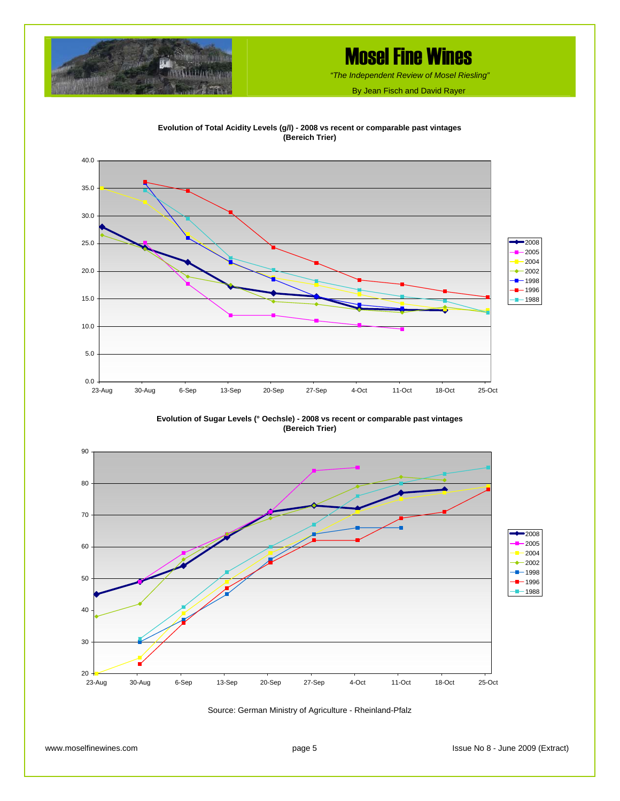

# Mosel Fine Wines

 *"The Independent Review of Mosel Riesling"*

By Jean Fisch and David Rayer





**Evolution of Sugar Levels (° Oechsle) - 2008 vs recent or comparable past vintages (Bereich Trier)**